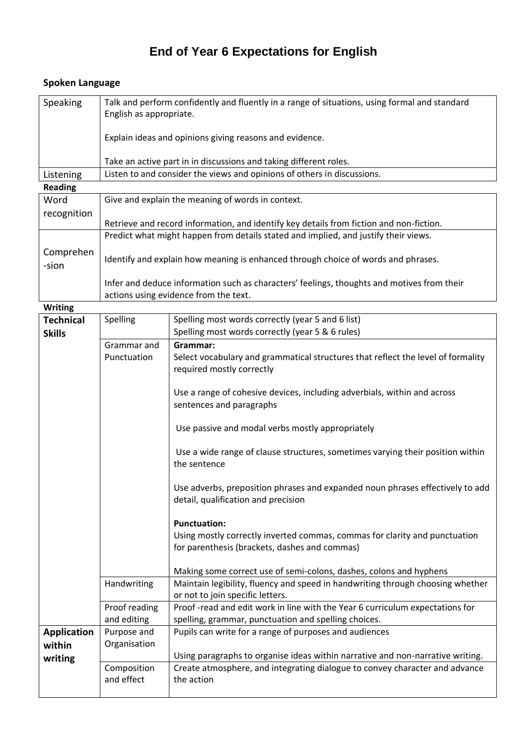## **End of Year 6 Expectations for English**

## **Spoken Language**

| <b>Speaking</b> | Talk and perform confidently and fluently in a range of situations, using formal and standard<br>English as appropriate.<br>Explain ideas and opinions giving reasons and evidence. |
|-----------------|-------------------------------------------------------------------------------------------------------------------------------------------------------------------------------------|
|                 | Take an active part in in discussions and taking different roles.                                                                                                                   |
| Listening       | Listen to and consider the views and opinions of others in discussions.                                                                                                             |
| <b>Reading</b>  |                                                                                                                                                                                     |
| <i>Mord</i>     | Give and explain the meaning of words in context                                                                                                                                    |

| Word               | Give and explain the meaning of words in context.                                          |
|--------------------|--------------------------------------------------------------------------------------------|
| recognition        |                                                                                            |
|                    | Retrieve and record information, and identify key details from fiction and non-fiction.    |
|                    | Predict what might happen from details stated and implied, and justify their views.        |
| Comprehen<br>-sion | Identify and explain how meaning is enhanced through choice of words and phrases.          |
|                    | Infer and deduce information such as characters' feelings, thoughts and motives from their |
|                    | actions using evidence from the text.                                                      |

**Writing**

| <b>Technical</b><br><b>Skills</b> | Spelling      | Spelling most words correctly (year 5 and 6 list)<br>Spelling most words correctly (year 5 & 6 rules) |
|-----------------------------------|---------------|-------------------------------------------------------------------------------------------------------|
|                                   | Grammar and   | Grammar:                                                                                              |
|                                   |               |                                                                                                       |
|                                   | Punctuation   | Select vocabulary and grammatical structures that reflect the level of formality                      |
|                                   |               | required mostly correctly                                                                             |
|                                   |               |                                                                                                       |
|                                   |               | Use a range of cohesive devices, including adverbials, within and across                              |
|                                   |               | sentences and paragraphs                                                                              |
|                                   |               |                                                                                                       |
|                                   |               | Use passive and modal verbs mostly appropriately                                                      |
|                                   |               | Use a wide range of clause structures, sometimes varying their position within                        |
|                                   |               | the sentence                                                                                          |
|                                   |               |                                                                                                       |
|                                   |               | Use adverbs, preposition phrases and expanded noun phrases effectively to add                         |
|                                   |               | detail, qualification and precision                                                                   |
|                                   |               |                                                                                                       |
|                                   |               | <b>Punctuation:</b>                                                                                   |
|                                   |               | Using mostly correctly inverted commas, commas for clarity and punctuation                            |
|                                   |               | for parenthesis (brackets, dashes and commas)                                                         |
|                                   |               |                                                                                                       |
|                                   |               | Making some correct use of semi-colons, dashes, colons and hyphens                                    |
|                                   | Handwriting   | Maintain legibility, fluency and speed in handwriting through choosing whether                        |
|                                   |               | or not to join specific letters.                                                                      |
|                                   | Proof reading | Proof-read and edit work in line with the Year 6 curriculum expectations for                          |
|                                   | and editing   | spelling, grammar, punctuation and spelling choices.                                                  |
| <b>Application</b>                | Purpose and   | Pupils can write for a range of purposes and audiences                                                |
| within                            | Organisation  |                                                                                                       |
| writing                           |               | Using paragraphs to organise ideas within narrative and non-narrative writing.                        |
|                                   | Composition   | Create atmosphere, and integrating dialogue to convey character and advance                           |
|                                   | and effect    | the action                                                                                            |
|                                   |               |                                                                                                       |